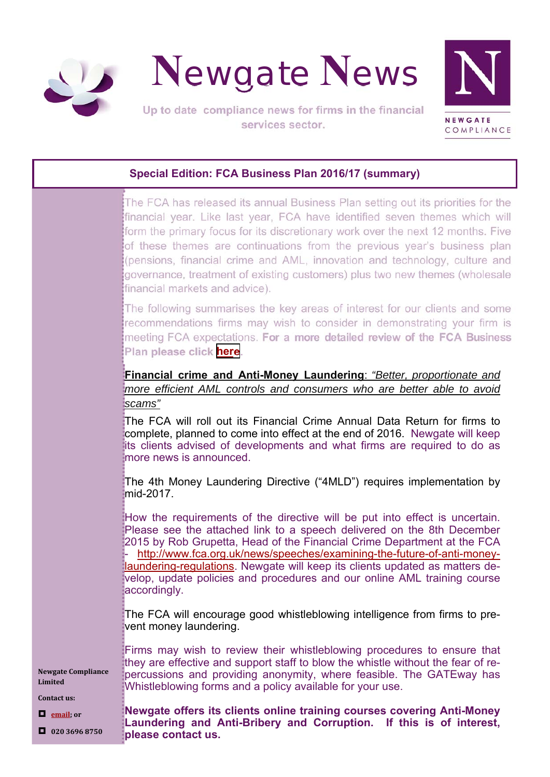



## **Special Edition: FCA Business Plan 2016/17 (summary)**

The FCA has released its annual Business Plan setting out its priorities for the financial year. Like last year, FCA have identified seven themes which will form the primary focus for its discretionary work over the next 12 months. Five of these themes are continuations from the previous year's business plan (pensions, financial crime and AML, innovation and technology, culture and governance, treatment of existing customers) plus two new themes (wholesale financial markets and advice).

The following summarises the key areas of interest for our clients and some recommendations firms may wish to consider in demonstrating your firm is meeting FCA expectations. For a more detailed review of the FCA Business Plan please click **[here](http://newgatecompliance.com/downloader/MzRlYjY5NjA1MDI3YWJiZWRkMWU1OTI3ZWM2NGZlYjQBmq1qtyVb88PwxU-vhBViUFpQdHhYcjRPdUpJcVVtMHNjWUtuWDhiZDI3b3J2cnFBWFhLR01HaWppaXo2cUIyakNXRytYbjRTQVdSeWZJdg)**.

**Financial crime and Anti-Money Laundering**: *"Better, proportionate and more efficient AML controls and consumers who are better able to avoid scams"*

The FCA will roll out its Financial Crime Annual Data Return for firms to complete, planned to come into effect at the end of 2016. Newgate will keep its clients advised of developments and what firms are required to do as more news is announced.

The 4th Money Laundering Directive ("4MLD") requires implementation by mid-2017.

How the requirements of the directive will be put into effect is uncertain. Please see the attached link to a speech delivered on the 8th December 2015 by Rob Grupetta, Head of the Financial Crime Department at the FCA - http://www.fca.org.uk/news/speeches/examining-the-future-of-anti-moneylaundering-regulations. Newgate will keep its clients updated as matters develop, update policies and procedures and our online AML training course accordingly.

The FCA will encourage good whistleblowing intelligence from firms to prevent money laundering.

Firms may wish to review their whistleblowing procedures to ensure that they are effective and support staff to blow the whistle without the fear of repercussions and providing anonymity, where feasible. The GATEway has Whistleblowing forms and a policy available for your use.

**Limited**

**Newgate Compliance**

**Contact us:**

**email; or**

**020 3696 8750**

**Newgate offers its clients online training courses covering Anti-Money Laundering and Anti-Bribery and Corruption. If this is of interest, please contact us.**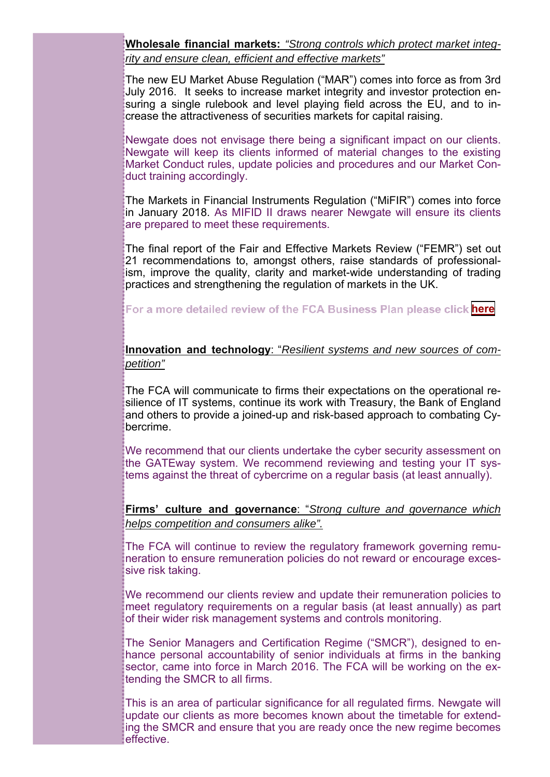**Wholesale financial markets:** *"Strong controls which protect market integrity and ensure clean, efficient and effective markets"*

The new EU Market Abuse Regulation ("MAR") comes into force as from 3rd July 2016. It seeks to increase market integrity and investor protection ensuring a single rulebook and level playing field across the EU, and to increase the attractiveness of securities markets for capital raising.

Newgate does not envisage there being a significant impact on our clients. Newgate will keep its clients informed of material changes to the existing Market Conduct rules, update policies and procedures and our Market Conduct training accordingly.

The Markets in Financial Instruments Regulation ("MiFIR") comes into force in January 2018. As MIFID II draws nearer Newgate will ensure its clients are prepared to meet these requirements.

The final report of the Fair and Effective Markets Review ("FEMR") set out 21 recommendations to, amongst others, raise standards of professionalism, improve the quality, clarity and market-wide understanding of trading practices and strengthening the regulation of markets in the UK.

For a more detailed review of the FCA Business Plan please click **[here](http://newgatecompliance.com/downloader/MzRlYjY5NjA1MDI3YWJiZWRkMWU1OTI3ZWM2NGZlYjQBmq1qtyVb88PwxU-vhBViUFpQdHhYcjRPdUpJcVVtMHNjWUtuWDhiZDI3b3J2cnFBWFhLR01HaWppaXo2cUIyakNXRytYbjRTQVdSeWZJdg)** 

**Innovation and technology**: "*Resilient systems and new sources of competition"*

The FCA will communicate to firms their expectations on the operational resilience of IT systems, continue its work with Treasury, the Bank of England and others to provide a joined-up and risk-based approach to combating Cybercrime.

We recommend that our clients undertake the cyber security assessment on the GATEway system. We recommend reviewing and testing your IT systems against the threat of cybercrime on a regular basis (at least annually).

**Firms' culture and governance**: "*Strong culture and governance which helps competition and consumers alike".*

The FCA will continue to review the regulatory framework governing remuneration to ensure remuneration policies do not reward or encourage excessive risk taking.

We recommend our clients review and update their remuneration policies to meet regulatory requirements on a regular basis (at least annually) as part of their wider risk management systems and controls monitoring.

The Senior Managers and Certification Regime ("SMCR"), designed to enhance personal accountability of senior individuals at firms in the banking sector, came into force in March 2016. The FCA will be working on the extending the SMCR to all firms.

This is an area of particular significance for all regulated firms. Newgate will update our clients as more becomes known about the timetable for extending the SMCR and ensure that you are ready once the new regime becomes effective.